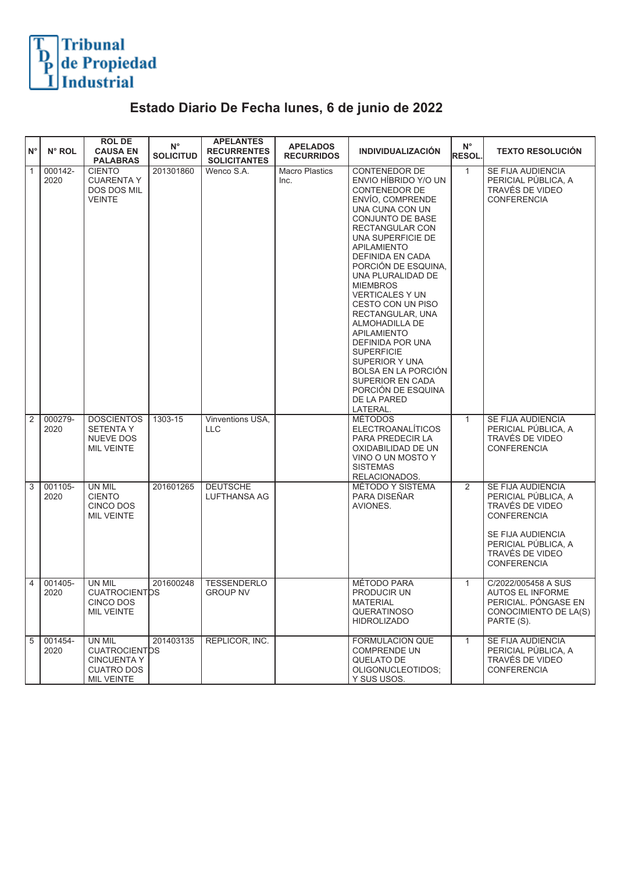

## **Estado Diario De Fecha lunes, 6 de junio de 2022**

| $N^{\circ}$  | N° ROL          | <b>ROL DE</b><br><b>CAUSA EN</b><br><b>PALABRAS</b>                                     | $N^{\circ}$<br><b>SOLICITUD</b> | <b>APELANTES</b><br><b>RECURRENTES</b><br><b>SOLICITANTES</b> | <b>APELADOS</b><br><b>RECURRIDOS</b> | <b>INDIVIDUALIZACIÓN</b>                                                                                                                                                                                                                                                                                                                                                                                                                                                                                                                           | $N^{\circ}$<br><b>RESOL</b> | <b>TEXTO RESOLUCIÓN</b>                                                                                                                                                |
|--------------|-----------------|-----------------------------------------------------------------------------------------|---------------------------------|---------------------------------------------------------------|--------------------------------------|----------------------------------------------------------------------------------------------------------------------------------------------------------------------------------------------------------------------------------------------------------------------------------------------------------------------------------------------------------------------------------------------------------------------------------------------------------------------------------------------------------------------------------------------------|-----------------------------|------------------------------------------------------------------------------------------------------------------------------------------------------------------------|
| $\mathbf{1}$ | 000142-<br>2020 | <b>CIENTO</b><br><b>CUARENTA Y</b><br>DOS DOS MIL<br><b>VEINTE</b>                      | 201301860                       | Wenco S.A.                                                    | <b>Macro Plastics</b><br>Inc.        | <b>CONTENEDOR DE</b><br>ENVIO HÍBRIDO Y/O UN<br><b>CONTENEDOR DE</b><br>ENVÍO, COMPRENDE<br>UNA CUNA CON UN<br>CONJUNTO DE BASE<br>RECTANGULAR CON<br>UNA SUPERFICIE DE<br><b>APILAMIENTO</b><br>DEFINIDA EN CADA<br>PORCIÓN DE ESQUINA,<br>UNA PLURALIDAD DE<br><b>MIEMBROS</b><br><b>VERTICALES Y UN</b><br>CESTO CON UN PISO<br>RECTANGULAR, UNA<br>ALMOHADILLA DE<br><b>APILAMIENTO</b><br>DEFINIDA POR UNA<br><b>SUPERFICIE</b><br>SUPERIOR Y UNA<br>BOLSA EN LA PORCIÓN<br>SUPERIOR EN CADA<br>PORCIÓN DE ESQUINA<br>DE LA PARED<br>LATERAL. | $\mathbf{1}$                | SE FIJA AUDIENCIA<br>PERICIAL PÚBLICA, A<br>TRAVÉS DE VIDEO<br><b>CONFERENCIA</b>                                                                                      |
| 2            | 000279-<br>2020 | <b>DOSCIENTOS</b><br><b>SETENTA Y</b><br><b>NUEVE DOS</b><br><b>MIL VEINTE</b>          | 1303-15                         | Vinventions USA,<br><b>LLC</b>                                |                                      | <b>MÉTODOS</b><br><b>ELECTROANALÍTICOS</b><br>PARA PREDECIR LA<br>OXIDABILIDAD DE UN<br>VINO O UN MOSTO Y<br><b>SISTEMAS</b><br>RELACIONADOS.                                                                                                                                                                                                                                                                                                                                                                                                      | $\mathbf{1}$                | SE FIJA AUDIENCIA<br>PERICIAL PÚBLICA, A<br>TRAVÉS DE VIDEO<br><b>CONFERENCIA</b>                                                                                      |
| 3            | 001105-<br>2020 | <b>UN MIL</b><br><b>CIENTO</b><br>CINCO DOS<br><b>MIL VEINTE</b>                        | 201601265                       | <b>DEUTSCHE</b><br>LUFTHANSA AG                               |                                      | <b>MÉTODO Y SISTEMA</b><br>PARA DISEÑAR<br>AVIONES.                                                                                                                                                                                                                                                                                                                                                                                                                                                                                                | 2                           | SE FIJA AUDIENCIA<br>PERICIAL PÚBLICA, A<br>TRAVÉS DE VIDEO<br><b>CONFERENCIA</b><br>SE FIJA AUDIENCIA<br>PERICIAL PUBLICA, A<br>TRAVÉS DE VIDEO<br><b>CONFERENCIA</b> |
| 4            | 001405-<br>2020 | UN MIL<br><b>CUATROCIENTOS</b><br>CINCO DOS<br>MIL VEINTE                               | 201600248                       | <b>TESSENDERLO</b><br><b>GROUP NV</b>                         |                                      | MÉTODO PARA<br>PRODUCIR UN<br><b>MATERIAL</b><br><b>QUERATINOSO</b><br><b>HIDROLIZADO</b>                                                                                                                                                                                                                                                                                                                                                                                                                                                          | $\mathbf{1}$                | C/2022/005458 A SUS<br><b>AUTOS EL INFORME</b><br>PERICIAL. PONGASE EN<br>CONOCIMIENTO DE LA(S)<br>PARTE (S).                                                          |
| 5            | 001454-<br>2020 | UN MIL<br><b>CUATROCIENTOS</b><br><b>CINCUENTA Y</b><br><b>CUATRO DOS</b><br>MIL VEINTE | 201403135                       | REPLICOR, INC.                                                |                                      | FORMULACION QUE<br><b>COMPRENDE UN</b><br>QUELATO DE<br>OLIGONUCLEOTIDOS;<br>Y SUS USOS.                                                                                                                                                                                                                                                                                                                                                                                                                                                           | $\mathbf{1}$                | SE FIJA AUDIENCIA<br>PERICIAL PÚBLICA, A<br>TRAVÉS DE VIDEO<br><b>CONFERENCIA</b>                                                                                      |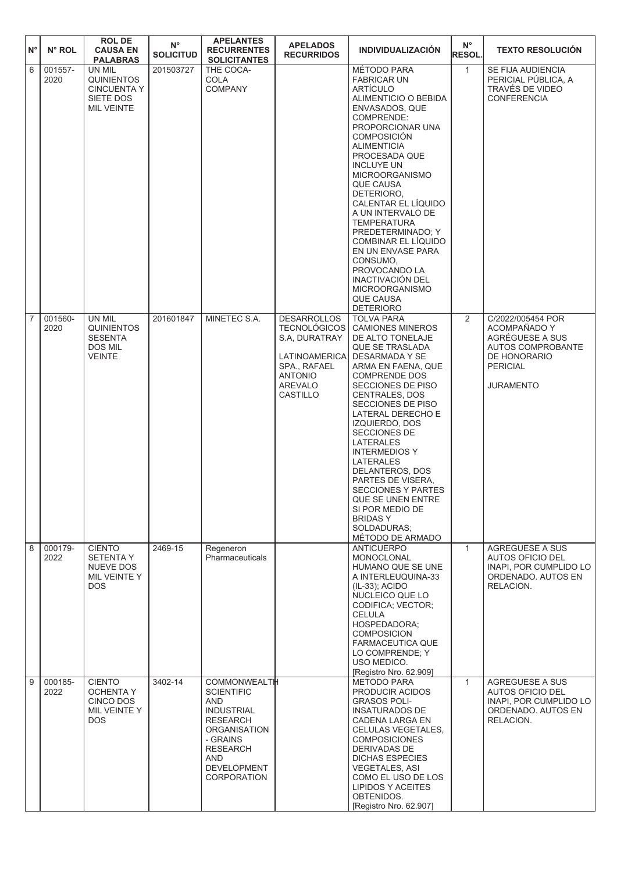| $N^{\circ}$    | N° ROL          | <b>ROLDE</b><br><b>CAUSA EN</b><br><b>PALABRAS</b>                           | $\mathsf{N}^\circ$<br><b>SOLICITUD</b> | <b>APELANTES</b><br><b>RECURRENTES</b><br><b>SOLICITANTES</b>                                                                                                                                           | <b>APELADOS</b><br><b>RECURRIDOS</b>                                                                                                 | <b>INDIVIDUALIZACIÓN</b>                                                                                                                                                                                                                                                                                                                                                                                                                                                                                                    | $N^{\circ}$<br><b>RESOL.</b> | <b>TEXTO RESOLUCIÓN</b>                                                                                                          |
|----------------|-----------------|------------------------------------------------------------------------------|----------------------------------------|---------------------------------------------------------------------------------------------------------------------------------------------------------------------------------------------------------|--------------------------------------------------------------------------------------------------------------------------------------|-----------------------------------------------------------------------------------------------------------------------------------------------------------------------------------------------------------------------------------------------------------------------------------------------------------------------------------------------------------------------------------------------------------------------------------------------------------------------------------------------------------------------------|------------------------------|----------------------------------------------------------------------------------------------------------------------------------|
| 6              | 001557-<br>2020 | UN MIL<br>QUINIENTOS<br><b>CINCUENTA Y</b><br>SIETE DOS<br><b>MIL VEINTE</b> | 201503727                              | THE COCA-<br><b>COLA</b><br>COMPANY                                                                                                                                                                     |                                                                                                                                      | MÉTODO PARA<br><b>FABRICAR UN</b><br>ARTÍCULO<br>ALIMENTICIO O BEBIDA<br><b>ENVASADOS, QUE</b><br>COMPRENDE:<br>PROPORCIONAR UNA<br><b>COMPOSICIÓN</b><br><b>ALIMENTICIA</b><br>PROCESADA QUE<br><b>INCLUYE UN</b><br><b>MICROORGANISMO</b><br><b>QUE CAUSA</b><br>DETERIORO,<br>CALENTAR EL LÍQUIDO<br>A UN INTERVALO DE<br>TEMPERATURA<br>PREDETERMINADO; Y<br>COMBINAR EL LÍQUIDO<br>EN UN ENVASE PARA<br>CONSUMO,<br>PROVOCANDO LA<br>INACTIVACIÓN DEL<br><b>MICROORGANISMO</b><br><b>QUE CAUSA</b><br><b>DETERIORO</b> | $\mathbf{1}$                 | SE FIJA AUDIENCIA<br>PERICIAL PÚBLICA, A<br>TRAVÉS DE VIDEO<br><b>CONFERENCIA</b>                                                |
| $\overline{7}$ | 001560-<br>2020 | UN MIL<br><b>QUINIENTOS</b><br><b>SESENTA</b><br>DOS MIL<br>VEINTE           | 201601847                              | MINETEC S.A.                                                                                                                                                                                            | <b>DESARROLLOS</b><br><b>TECNOLÓGICOS</b><br>S.A. DURATRAY<br>LATINOAMERICA<br>SPA., RAFAEL<br><b>ANTONIO</b><br>AREVALO<br>CASTILLO | <b>TOLVA PARA</b><br><b>CAMIONES MINEROS</b><br>DE ALTO TONELAJE<br>QUE SE TRASLADA<br>DESARMADA Y SE<br>ARMA EN FAENA, QUE<br><b>COMPRENDE DOS</b><br>SECCIONES DE PISO<br><b>CENTRALES, DOS</b><br>SECCIONES DE PISO<br>LATERAL DERECHO E<br>IZQUIERDO, DOS<br>SECCIONES DE<br>LATERALES<br><b>INTERMEDIOS Y</b><br>LATERALES<br>DELANTEROS, DOS<br>PARTES DE VISERA,<br><b>SECCIONES Y PARTES</b><br>QUE SE UNEN ENTRE<br>SI POR MEDIO DE<br><b>BRIDASY</b><br>SOLDADURAS;<br>MÉTODO DE ARMADO                           | $\overline{2}$               | C/2022/005454 POR<br>ACOMPAÑADO Y<br>AGRÉGUESE A SUS<br>AUTOS COMPROBANTE<br>DE HONORARIO<br><b>PERICIAL</b><br><b>JURAMENTO</b> |
| 8              | 000179-<br>2022 | <b>CIENTO</b><br><b>SETENTA Y</b><br>NUEVE DOS<br>MIL VEINTE Y<br>DOS.       | 2469-15                                | Regeneron<br>Pharmaceuticals                                                                                                                                                                            |                                                                                                                                      | <b>ANTICUERPO</b><br><b>MONOCLONAL</b><br>HUMANO QUE SE UNE<br>A INTERLEUQUINA-33<br>(IL-33); ACIDO<br>NUCLEICO QUE LO<br>CODIFICA; VECTOR;<br>CELULA<br>HOSPEDADORA;<br><b>COMPOSICION</b><br>FARMACEUTICA QUE<br>LO COMPRENDE; Y<br>USO MEDICO.<br>[Registro Nro. 62.909]                                                                                                                                                                                                                                                 | $\mathbf{1}$                 | AGREGUESE A SUS<br>AUTOS OFICIO DEL<br>INAPI. POR CUMPLIDO LO<br>ORDENADO, AUTOS EN<br>RELACION.                                 |
| 9              | 000185-<br>2022 | <b>CIENTO</b><br><b>OCHENTA Y</b><br>CINCO DOS<br>MIL VEINTE Y<br>DOS.       | 3402-14                                | <b>COMMONWEALTH</b><br><b>SCIENTIFIC</b><br><b>AND</b><br><b>INDUSTRIAL</b><br><b>RESEARCH</b><br><b>ORGANISATION</b><br>- GRAINS<br><b>RESEARCH</b><br>AND<br><b>DEVELOPMENT</b><br><b>CORPORATION</b> |                                                                                                                                      | <b>METODO PARA</b><br>PRODUCIR ACIDOS<br><b>GRASOS POLI-</b><br><b>INSATURADOS DE</b><br>CADENA LARGA EN<br>CELULAS VEGETALES,<br><b>COMPOSICIONES</b><br>DERIVADAS DE<br><b>DICHAS ESPECIES</b><br>VEGETALES, ASI<br>COMO EL USO DE LOS<br><b>LIPIDOS Y ACEITES</b><br>OBTENIDOS.<br>[Registro Nro. 62.907]                                                                                                                                                                                                                | $\mathbf{1}$                 | AGREGUESE A SUS<br><b>AUTOS OFICIO DEL</b><br>INAPI, POR CUMPLIDO LO<br>ORDENADO. AUTOS EN<br>RELACION.                          |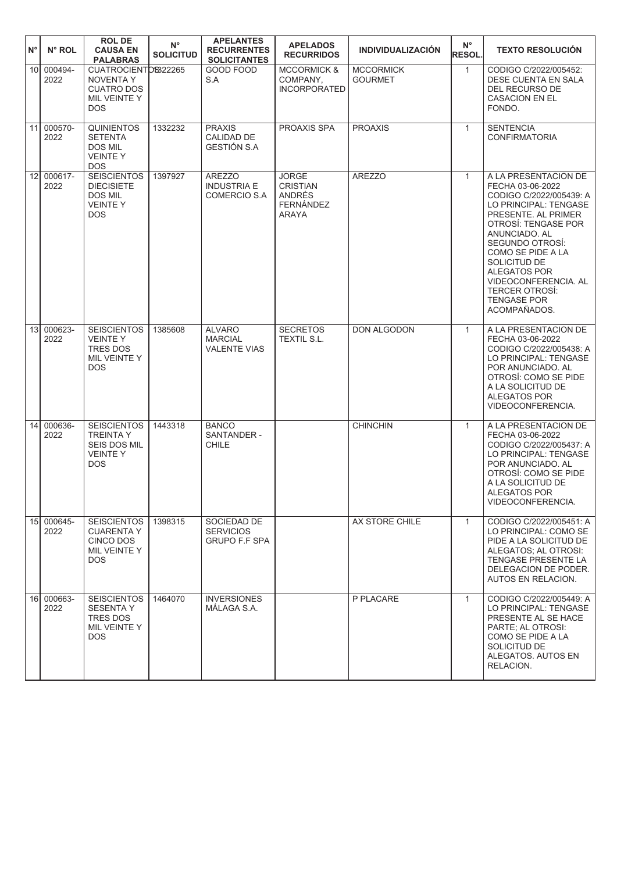| $N^{\circ}$     | N° ROL             | <b>ROLDE</b><br><b>CAUSA EN</b><br><b>PALABRAS</b>                                            | $N^{\circ}$<br><b>SOLICITUD</b> | <b>APELANTES</b><br><b>RECURRENTES</b><br><b>SOLICITANTES</b> | <b>APELADOS</b><br><b>RECURRIDOS</b>                                          | <b>INDIVIDUALIZACIÓN</b>           | $N^{\circ}$<br><b>RESOL.</b> | <b>TEXTO RESOLUCIÓN</b>                                                                                                                                                                                                                                                                                                           |
|-----------------|--------------------|-----------------------------------------------------------------------------------------------|---------------------------------|---------------------------------------------------------------|-------------------------------------------------------------------------------|------------------------------------|------------------------------|-----------------------------------------------------------------------------------------------------------------------------------------------------------------------------------------------------------------------------------------------------------------------------------------------------------------------------------|
|                 | 10 000494-<br>2022 | CUATROCIENTOS322265<br><b>NOVENTA Y</b><br><b>CUATRO DOS</b><br>MIL VEINTE Y<br><b>DOS</b>    |                                 | GOOD FOOD<br>S.A                                              | <b>MCCORMICK &amp;</b><br>COMPANY,<br><b>INCORPORATED</b>                     | <b>MCCORMICK</b><br><b>GOURMET</b> | $\mathbf{1}$                 | CODIGO C/2022/005452:<br>DESE CUENTA EN SALA<br>DEL RECURSO DE<br><b>CASACION EN EL</b><br>FONDO.                                                                                                                                                                                                                                 |
|                 | 11 000570-<br>2022 | <b>QUINIENTOS</b><br><b>SETENTA</b><br><b>DOS MIL</b><br><b>VEINTEY</b><br><b>DOS</b>         | 1332232                         | <b>PRAXIS</b><br>CALIDAD DE<br>GESTIÓN S.A                    | PROAXIS SPA                                                                   | <b>PROAXIS</b>                     | $\mathbf{1}$                 | <b>SENTENCIA</b><br><b>CONFIRMATORIA</b>                                                                                                                                                                                                                                                                                          |
|                 | 12 000617-<br>2022 | <b>SEISCIENTOS</b><br><b>DIECISIETE</b><br><b>DOS MIL</b><br><b>VEINTEY</b><br><b>DOS</b>     | 1397927                         | <b>AREZZO</b><br><b>INDUSTRIA E</b><br><b>COMERCIO S.A</b>    | <b>JORGE</b><br><b>CRISTIAN</b><br>ANDRÉS<br><b>FERNÁNDEZ</b><br><b>ARAYA</b> | <b>AREZZO</b>                      | $\mathbf{1}$                 | A LA PRESENTACION DE<br>FECHA 03-06-2022<br>CODIGO C/2022/005439: A<br>LO PRINCIPAL: TENGASE<br>PRESENTE. AL PRIMER<br>OTROSÍ: TENGASE POR<br>ANUNCIADO. AL<br>SEGUNDO OTROSI:<br>COMO SE PIDE A LA<br>SOLICITUD DE<br><b>ALEGATOS POR</b><br>VIDEOCONFERENCIA, AL<br><b>TERCER OTROSÍ:</b><br><b>TENGASE POR</b><br>ACOMPAÑADOS. |
| 13 <sup>1</sup> | 000623-<br>2022    | <b>SEISCIENTOS</b><br><b>VEINTEY</b><br><b>TRES DOS</b><br>MIL VEINTE Y<br><b>DOS</b>         | 1385608                         | <b>ALVARO</b><br><b>MARCIAL</b><br><b>VALENTE VIAS</b>        | <b>SECRETOS</b><br>TEXTIL S.L.                                                | DON ALGODON                        | $\mathbf{1}$                 | A LA PRESENTACION DE<br>FECHA 03-06-2022<br>CODIGO C/2022/005438: A<br>LO PRINCIPAL: TENGASE<br>POR ANUNCIADO. AL<br>OTROSÍ: COMO SE PIDE<br>A LA SOLICITUD DE<br>ALEGATOS POR<br>VIDEOCONFERENCIA.                                                                                                                               |
| 14              | 000636-<br>2022    | <b>SEISCIENTOS</b><br><b>TREINTA Y</b><br><b>SEIS DOS MIL</b><br><b>VEINTEY</b><br><b>DOS</b> | 1443318                         | <b>BANCO</b><br>SANTANDER -<br>CHILE                          |                                                                               | <b>CHINCHIN</b>                    | $\mathbf{1}$                 | A LA PRESENTACION DE<br>FECHA 03-06-2022<br>CODIGO C/2022/005437: A<br>LO PRINCIPAL: TENGASE<br>POR ANUNCIADO. AL<br>OTROSÍ: COMO SE PIDE<br>A LA SOLICITUD DE<br>ALEGATOS POR<br>VIDEOCONFERENCIA.                                                                                                                               |
|                 | 15 000645-<br>2022 | <b>SEISCIENTOS</b><br><b>CUARENTA Y</b><br>CINCO DOS<br>MIL VEINTE Y<br><b>DOS</b>            | 1398315                         | SOCIEDAD DE<br><b>SERVICIOS</b><br><b>GRUPO F.F SPA</b>       |                                                                               | AX STORE CHILE                     | $\mathbf{1}$                 | CODIGO C/2022/005451: A<br>LO PRINCIPAL: COMO SE<br>PIDE A LA SOLICITUD DE<br>ALEGATOS; AL OTROSI:<br>TENGASE PRESENTE LA<br>DELEGACION DE PODER.<br>AUTOS EN RELACION.                                                                                                                                                           |
|                 | 16 000663-<br>2022 | <b>SEISCIENTOS</b><br><b>SESENTAY</b><br><b>TRES DOS</b><br>MIL VEINTE Y<br><b>DOS</b>        | 1464070                         | <b>INVERSIONES</b><br>MÁLAGA S.A.                             |                                                                               | P PLACARE                          | $\mathbf{1}$                 | CODIGO C/2022/005449: A<br>LO PRINCIPAL: TENGASE<br>PRESENTE AL SE HACE<br>PARTE; AL OTROSI:<br>COMO SE PIDE A LA<br>SOLICITUD DE<br>ALEGATOS. AUTOS EN<br>RELACION.                                                                                                                                                              |